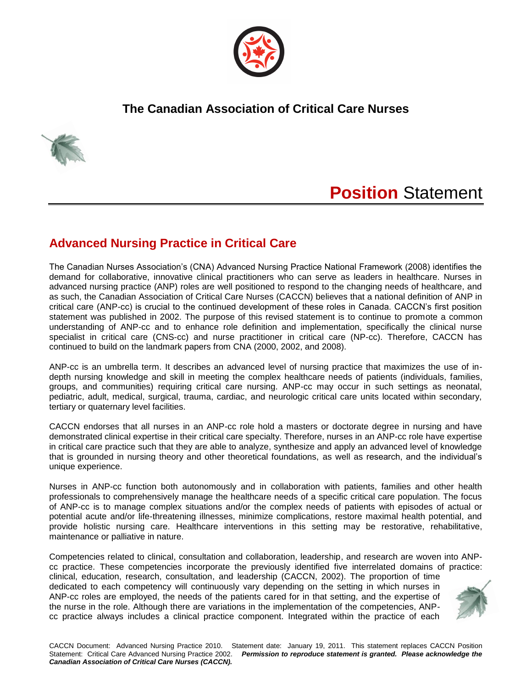

## **The Canadian Association of Critical Care Nurses**



# **Position** Statement

### **Advanced Nursing Practice in Critical Care**

The Canadian Nurses Association's (CNA) Advanced Nursing Practice National Framework (2008) identifies the demand for collaborative, innovative clinical practitioners who can serve as leaders in healthcare. Nurses in advanced nursing practice (ANP) roles are well positioned to respond to the changing needs of healthcare, and as such, the Canadian Association of Critical Care Nurses (CACCN) believes that a national definition of ANP in critical care (ANP-cc) is crucial to the continued development of these roles in Canada. CACCN's first position statement was published in 2002. The purpose of this revised statement is to continue to promote a common understanding of ANP-cc and to enhance role definition and implementation, specifically the clinical nurse specialist in critical care (CNS-cc) and nurse practitioner in critical care (NP-cc). Therefore, CACCN has continued to build on the landmark papers from CNA (2000, 2002, and 2008).

ANP-cc is an umbrella term. It describes an advanced level of nursing practice that maximizes the use of indepth nursing knowledge and skill in meeting the complex healthcare needs of patients (individuals, families, groups, and communities) requiring critical care nursing. ANP-cc may occur in such settings as neonatal, pediatric, adult, medical, surgical, trauma, cardiac, and neurologic critical care units located within secondary, tertiary or quaternary level facilities.

CACCN endorses that all nurses in an ANP-cc role hold a masters or doctorate degree in nursing and have demonstrated clinical expertise in their critical care specialty. Therefore, nurses in an ANP-cc role have expertise in critical care practice such that they are able to analyze, synthesize and apply an advanced level of knowledge that is grounded in nursing theory and other theoretical foundations, as well as research, and the individual's unique experience.

Nurses in ANP-cc function both autonomously and in collaboration with patients, families and other health professionals to comprehensively manage the healthcare needs of a specific critical care population. The focus of ANP-cc is to manage complex situations and/or the complex needs of patients with episodes of actual or potential acute and/or life-threatening illnesses, minimize complications, restore maximal health potential, and provide holistic nursing care. Healthcare interventions in this setting may be restorative, rehabilitative, maintenance or palliative in nature.

Competencies related to clinical, consultation and collaboration, leadership, and research are woven into ANPcc practice. These competencies incorporate the previously identified five interrelated domains of practice: clinical, education, research, consultation, and leadership (CACCN, 2002). The proportion of time dedicated to each competency will continuously vary depending on the setting in which nurses in ANP-cc roles are employed, the needs of the patients cared for in that setting, and the expertise of the nurse in the role. Although there are variations in the implementation of the competencies, ANPcc practice always includes a clinical practice component. Integrated within the practice of each